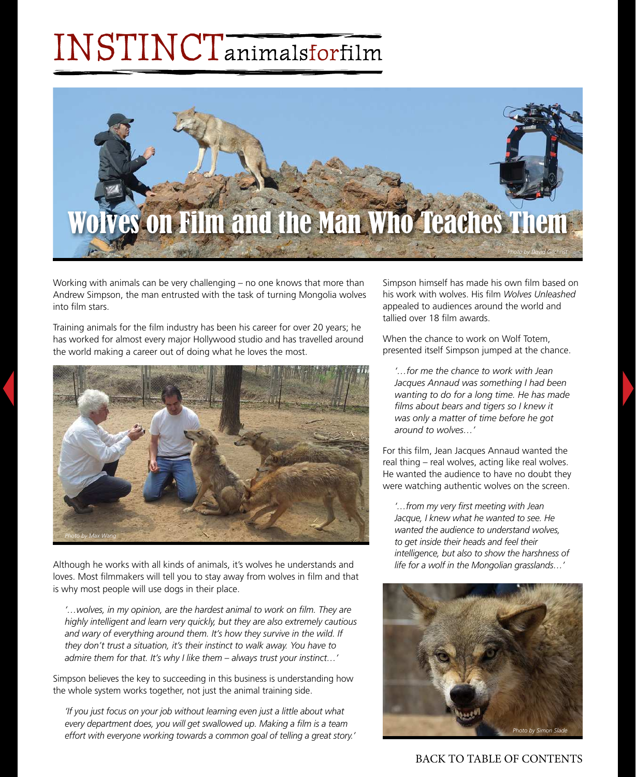## INSTINCTanimalsforfilm



Working with animals can be very challenging – no one knows that more than Andrew Simpson, the man entrusted with the task of turning Mongolia wolves into film stars

Training animals for the film industry has been his career for over 20 years; he has worked for almost every major Hollywood studio and has travelled around the world making a career out of doing what he loves the most.



Although he works with all kinds of animals, it's wolves he understands and loves. Most filmmakers will tell you to stay away from wolves in film and that is why most people will use dogs in their place.

'...wolves, in my opinion, are the hardest animal to work on film. They are *highly intelligent and learn very quickly, but they are also extremely cautious*  and wary of everything around them. It's how they survive in the wild. If *they don't trust a situation, it's their instinct to walk away. You have to admire them for that. It's why I like them – always trust your instinct…'*

Simpson believes the key to succeeding in this business is understanding how the whole system works together, not just the animal training side.

*'If you just focus on your job without learning even just a little about what*  every department does, you will get swallowed up. Making a film is a team *effort with everyone working towards a common goal of telling a great story.'* Simpson himself has made his own film based on his work with wolves. His film *Wolves Unleashed* appealed to audiences around the world and tallied over 18 film awards.

When the chance to work on Wolf Totem, presented itself Simpson jumped at the chance.

*'…for me the chance to work with Jean Jacques Annaud was something I had been wanting to do for a long time. He has made fi lms about bears and tigers so I knew it was only a matter of time before he got around to wolves…'*

For this film, Jean Jacques Annaud wanted the real thing – real wolves, acting like real wolves. He wanted the audience to have no doubt they were watching authentic wolves on the screen.

*'…from my very fi rst meeting with Jean Jacque, I knew what he wanted to see. He wanted the audience to understand wolves, to get inside their heads and feel their intelligence, but also to show the harshness of life for a wolf in the Mongolian grasslands…'*



BACK TO TABLE OF CONTENTS